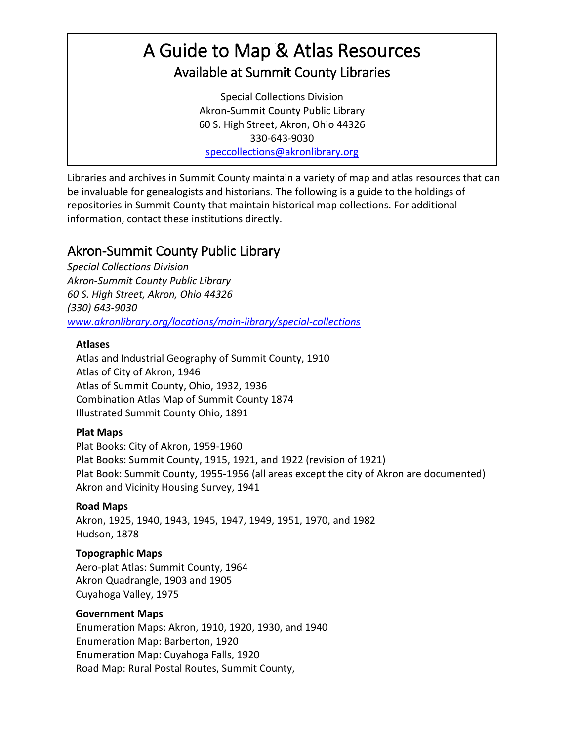# A Guide to Map & Atlas Resources Available at Summit County Libraries

Special Collections Division Akron-Summit County Public Library 60 S. High Street, Akron, Ohio 44326 330-643-9030 [speccollections@akronlibrary.org](mailto:speccollections@akronlibrary.org)

Libraries and archives in Summit County maintain a variety of map and atlas resources that can be invaluable for genealogists and historians. The following is a guide to the holdings of repositories in Summit County that maintain historical map collections. For additional information, contact these institutions directly.

## Akron-Summit County Public Library

*Special Collections Division Akron-Summit County Public Library 60 S. High Street, Akron, Ohio 44326 (330) 643-9030 [www.akronlibrary.org/locations/main-library/special-collections](http://www.akronlibrary.org/locations/main-library/special-collections)*

## **Atlases**

Atlas and Industrial Geography of Summit County, 1910 Atlas of City of Akron, 1946 Atlas of Summit County, Ohio, 1932, 1936 Combination Atlas Map of Summit County 1874 Illustrated Summit County Ohio, 1891

## **Plat Maps**

Plat Books: City of Akron, 1959-1960 Plat Books: Summit County, 1915, 1921, and 1922 (revision of 1921) Plat Book: Summit County, 1955-1956 (all areas except the city of Akron are documented) Akron and Vicinity Housing Survey, 1941

## **Road Maps**

Akron, 1925, 1940, 1943, 1945, 1947, 1949, 1951, 1970, and 1982 Hudson, 1878

## **Topographic Maps**

Aero-plat Atlas: Summit County, 1964 Akron Quadrangle, 1903 and 1905 Cuyahoga Valley, 1975

## **Government Maps**

Enumeration Maps: Akron, 1910, 1920, 1930, and 1940 Enumeration Map: Barberton, 1920 Enumeration Map: Cuyahoga Falls, 1920 Road Map: Rural Postal Routes, Summit County,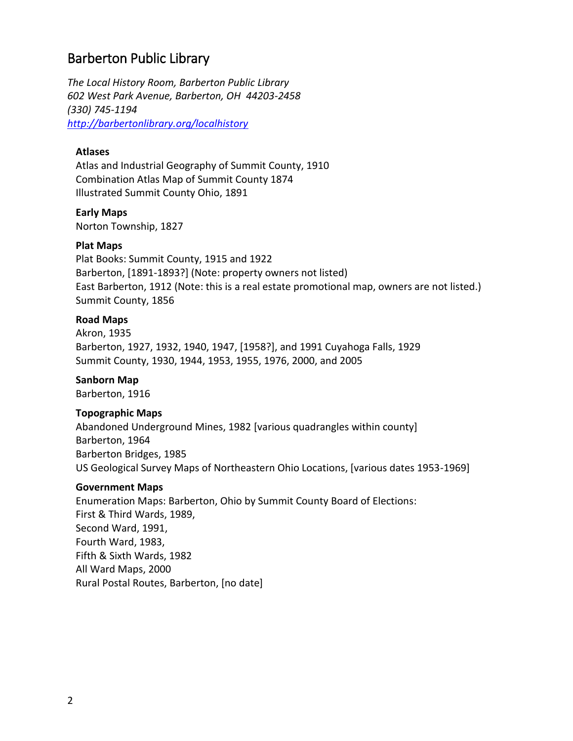## Barberton Public Library

*The Local History Room, Barberton Public Library 602 West Park Avenue, Barberton, OH 44203-2458 (330) 745-1194 <http://barbertonlibrary.org/localhistory>*

#### **Atlases**

Atlas and Industrial Geography of Summit County, 1910 Combination Atlas Map of Summit County 1874 Illustrated Summit County Ohio, 1891

#### **Early Maps**

Norton Township, 1827

#### **Plat Maps**

Plat Books: Summit County, 1915 and 1922 Barberton, [1891-1893?] (Note: property owners not listed) East Barberton, 1912 (Note: this is a real estate promotional map, owners are not listed.) Summit County, 1856

#### **Road Maps**

Akron, 1935 Barberton, 1927, 1932, 1940, 1947, [1958?], and 1991 Cuyahoga Falls, 1929 Summit County, 1930, 1944, 1953, 1955, 1976, 2000, and 2005

#### **Sanborn Map**

Barberton, 1916

#### **Topographic Maps**

Abandoned Underground Mines, 1982 [various quadrangles within county] Barberton, 1964 Barberton Bridges, 1985 US Geological Survey Maps of Northeastern Ohio Locations, [various dates 1953-1969]

#### **Government Maps**

Enumeration Maps: Barberton, Ohio by Summit County Board of Elections: First & Third Wards, 1989, Second Ward, 1991, Fourth Ward, 1983, Fifth & Sixth Wards, 1982 All Ward Maps, 2000 Rural Postal Routes, Barberton, [no date]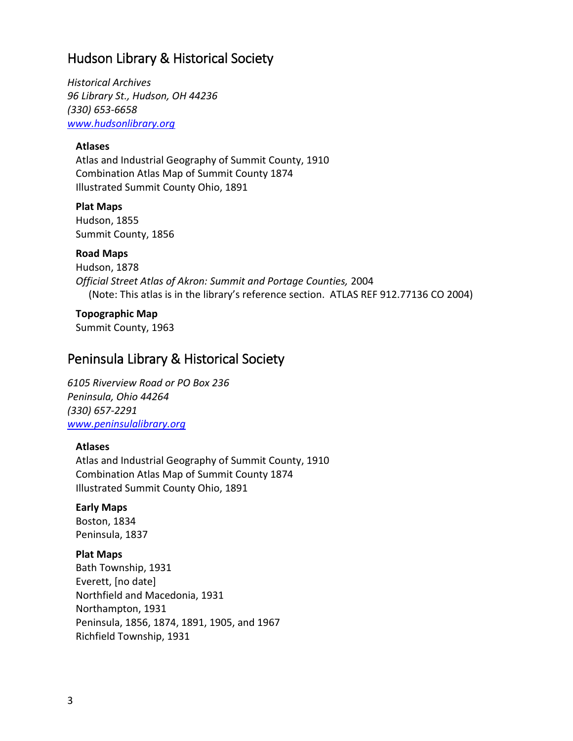## Hudson Library & Historical Society

*Historical Archives 96 Library St., Hudson, OH 44236 (330) 653-6658 [www.hudsonlibrary.org](http://www.hudsonlibrary.org/)*

#### **Atlases**

Atlas and Industrial Geography of Summit County, 1910 Combination Atlas Map of Summit County 1874 Illustrated Summit County Ohio, 1891

**Plat Maps** Hudson, 1855

Summit County, 1856

#### **Road Maps**

Hudson, 1878 *Official Street Atlas of Akron: Summit and Portage Counties,* 2004 (Note: This atlas is in the library's reference section. ATLAS REF 912.77136 CO 2004)

#### **Topographic Map**

Summit County, 1963

## Peninsula Library & Historical Society

*6105 Riverview Road or PO Box 236 Peninsula, Ohio 44264 (330) 657-2291 [www.peninsulalibrary.org](http://www.peninsulalibrary.org/)*

#### **Atlases**

Atlas and Industrial Geography of Summit County, 1910 Combination Atlas Map of Summit County 1874 Illustrated Summit County Ohio, 1891

#### **Early Maps**

Boston, 1834 Peninsula, 1837

#### **Plat Maps**

Bath Township, 1931 Everett, [no date] Northfield and Macedonia, 1931 Northampton, 1931 Peninsula, 1856, 1874, 1891, 1905, and 1967 Richfield Township, 1931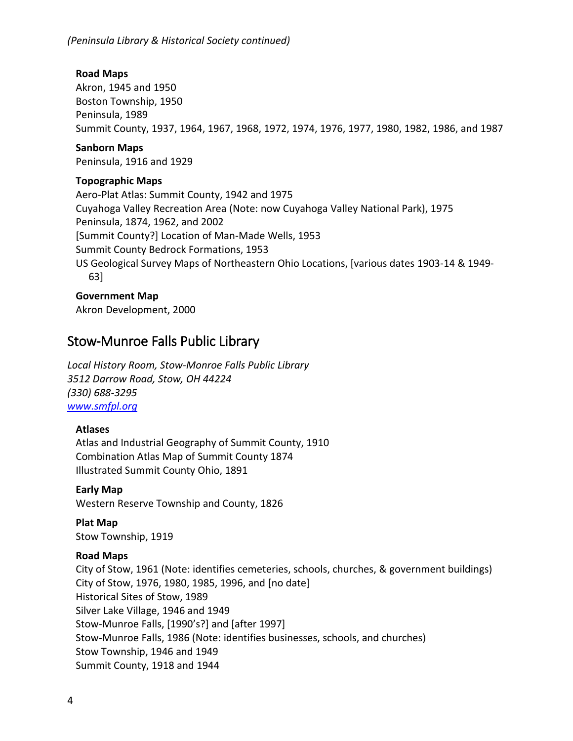#### **Road Maps**

Akron, 1945 and 1950 Boston Township, 1950 Peninsula, 1989 Summit County, 1937, 1964, 1967, 1968, 1972, 1974, 1976, 1977, 1980, 1982, 1986, and 1987

#### **Sanborn Maps**

Peninsula, 1916 and 1929

#### **Topographic Maps**

Aero-Plat Atlas: Summit County, 1942 and 1975 Cuyahoga Valley Recreation Area (Note: now Cuyahoga Valley National Park), 1975 Peninsula, 1874, 1962, and 2002 [Summit County?] Location of Man-Made Wells, 1953 Summit County Bedrock Formations, 1953 US Geological Survey Maps of Northeastern Ohio Locations, [various dates 1903-14 & 1949- 63]

#### **Government Map**

Akron Development, 2000

## Stow-Munroe Falls Public Library

*Local History Room, Stow-Monroe Falls Public Library 3512 Darrow Road, Stow, OH 44224 (330) 688-3295 [www.smfpl.org](http://www.smfpl.org/)*

#### **Atlases**

Atlas and Industrial Geography of Summit County, 1910 Combination Atlas Map of Summit County 1874 Illustrated Summit County Ohio, 1891

#### **Early Map**

Western Reserve Township and County, 1826

**Plat Map** Stow Township, 1919

#### **Road Maps**

City of Stow, 1961 (Note: identifies cemeteries, schools, churches, & government buildings) City of Stow, 1976, 1980, 1985, 1996, and [no date] Historical Sites of Stow, 1989 Silver Lake Village, 1946 and 1949 Stow-Munroe Falls, [1990's?] and [after 1997] Stow-Munroe Falls, 1986 (Note: identifies businesses, schools, and churches) Stow Township, 1946 and 1949 Summit County, 1918 and 1944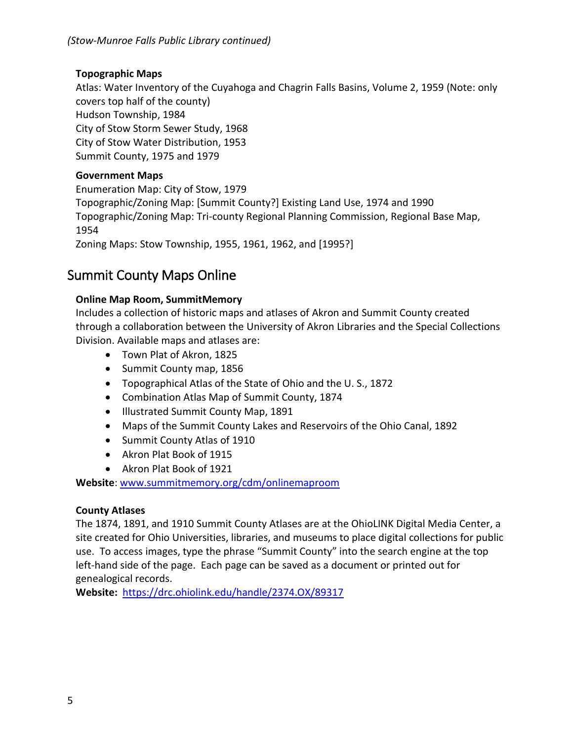### **Topographic Maps**

Atlas: Water Inventory of the Cuyahoga and Chagrin Falls Basins, Volume 2, 1959 (Note: only covers top half of the county) Hudson Township, 1984

City of Stow Storm Sewer Study, 1968 City of Stow Water Distribution, 1953 Summit County, 1975 and 1979

### **Government Maps**

Enumeration Map: City of Stow, 1979 Topographic/Zoning Map: [Summit County?] Existing Land Use, 1974 and 1990 Topographic/Zoning Map: Tri-county Regional Planning Commission, Regional Base Map, 1954 Zoning Maps: Stow Township, 1955, 1961, 1962, and [1995?]

## Summit County Maps Online

## **Online Map Room, SummitMemory**

Includes a collection of historic maps and atlases of Akron and Summit County created through a collaboration between the University of Akron Libraries and the Special Collections Division. Available maps and atlases are:

- Town Plat of Akron, 1825
- Summit County map, 1856
- Topographical Atlas of the State of Ohio and the U. S., 1872
- Combination Atlas Map of Summit County, 1874
- Illustrated Summit County Map, 1891
- Maps of the Summit County Lakes and Reservoirs of the Ohio Canal, 1892
- Summit County Atlas of 1910
- Akron Plat Book of 1915
- Akron Plat Book of 1921

**Website**: [www.summitmemory.org/cdm/onlinemaproom](http://www.summitmemory.org/cdm/onlinemaproom)

### **County Atlases**

The 1874, 1891, and 1910 Summit County Atlases are at the OhioLINK Digital Media Center, a site created for Ohio Universities, libraries, and museums to place digital collections for public use. To access images, type the phrase "Summit County" into the search engine at the top left-hand side of the page. Each page can be saved as a document or printed out for genealogical records.

**Website:** https://drc.ohiolink.edu/handle/2374.OX/89317